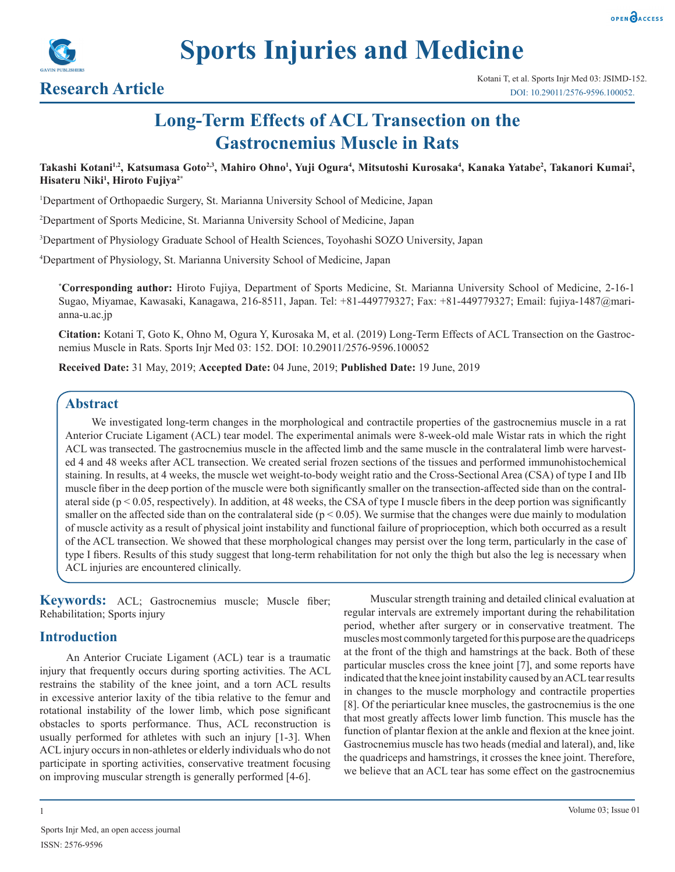



# **Long-Term Effects of ACL Transection on the Gastrocnemius Muscle in Rats**

Takashi Kotani<sup>1,2</sup>, Katsumasa Goto<sup>2,3</sup>, Mahiro Ohno<sup>1</sup>, Yuji Ogura<sup>4</sup>, Mitsutoshi Kurosaka<sup>4</sup>, Kanaka Yatabe<sup>2</sup>, Takanori Kumai<sup>2</sup>, **Hisateru Niki1 , Hiroto Fujiya2\***

1 Department of Orthopaedic Surgery, St. Marianna University School of Medicine, Japan

2 Department of Sports Medicine, St. Marianna University School of Medicine, Japan

3 Department of Physiology Graduate School of Health Sciences, Toyohashi SOZO University, Japan

4 Department of Physiology, St. Marianna University School of Medicine, Japan

**\* Corresponding author:** Hiroto Fujiya, Department of Sports Medicine, St. Marianna University School of Medicine, 2-16-1 Sugao, Miyamae, Kawasaki, Kanagawa, 216-8511, Japan. Tel: +81-449779327; Fax: +81-449779327; Email: fujiya-1487@marianna-u.ac.jp

**Citation:** Kotani T, Goto K, Ohno M, Ogura Y, Kurosaka M, et al. (2019) Long-Term Effects of ACL Transection on the Gastrocnemius Muscle in Rats. Sports Injr Med 03: 152. DOI: 10.29011/2576-9596.100052

**Received Date:** 31 May, 2019; **Accepted Date:** 04 June, 2019; **Published Date:** 19 June, 2019

# **Abstract**

We investigated long-term changes in the morphological and contractile properties of the gastrocnemius muscle in a rat Anterior Cruciate Ligament (ACL) tear model. The experimental animals were 8-week-old male Wistar rats in which the right ACL was transected. The gastrocnemius muscle in the affected limb and the same muscle in the contralateral limb were harvested 4 and 48 weeks after ACL transection. We created serial frozen sections of the tissues and performed immunohistochemical staining. In results, at 4 weeks, the muscle wet weight-to-body weight ratio and the Cross-Sectional Area (CSA) of type I and IIb muscle fiber in the deep portion of the muscle were both significantly smaller on the transection-affected side than on the contralateral side ( $p < 0.05$ , respectively). In addition, at 48 weeks, the CSA of type I muscle fibers in the deep portion was significantly smaller on the affected side than on the contralateral side ( $p < 0.05$ ). We surmise that the changes were due mainly to modulation of muscle activity as a result of physical joint instability and functional failure of proprioception, which both occurred as a result of the ACL transection. We showed that these morphological changes may persist over the long term, particularly in the case of type I fibers. Results of this study suggest that long-term rehabilitation for not only the thigh but also the leg is necessary when ACL injuries are encountered clinically.

**Keywords:** ACL; Gastrocnemius muscle; Muscle fiber; Rehabilitation; Sports injury

# **Introduction**

An Anterior Cruciate Ligament (ACL) tear is a traumatic injury that frequently occurs during sporting activities. The ACL restrains the stability of the knee joint, and a torn ACL results in excessive anterior laxity of the tibia relative to the femur and rotational instability of the lower limb, which pose significant obstacles to sports performance. Thus, ACL reconstruction is usually performed for athletes with such an injury [1-3]. When ACL injury occurs in non-athletes or elderly individuals who do not participate in sporting activities, conservative treatment focusing on improving muscular strength is generally performed [4-6].

Muscular strength training and detailed clinical evaluation at regular intervals are extremely important during the rehabilitation period, whether after surgery or in conservative treatment. The muscles most commonly targeted for this purpose are the quadriceps at the front of the thigh and hamstrings at the back. Both of these particular muscles cross the knee joint [7], and some reports have indicated that the knee joint instability caused by an ACL tear results in changes to the muscle morphology and contractile properties [8]. Of the periarticular knee muscles, the gastrocnemius is the one that most greatly affects lower limb function. This muscle has the function of plantar flexion at the ankle and flexion at the knee joint. Gastrocnemius muscle has two heads (medial and lateral), and, like the quadriceps and hamstrings, it crosses the knee joint. Therefore, we believe that an ACL tear has some effect on the gastrocnemius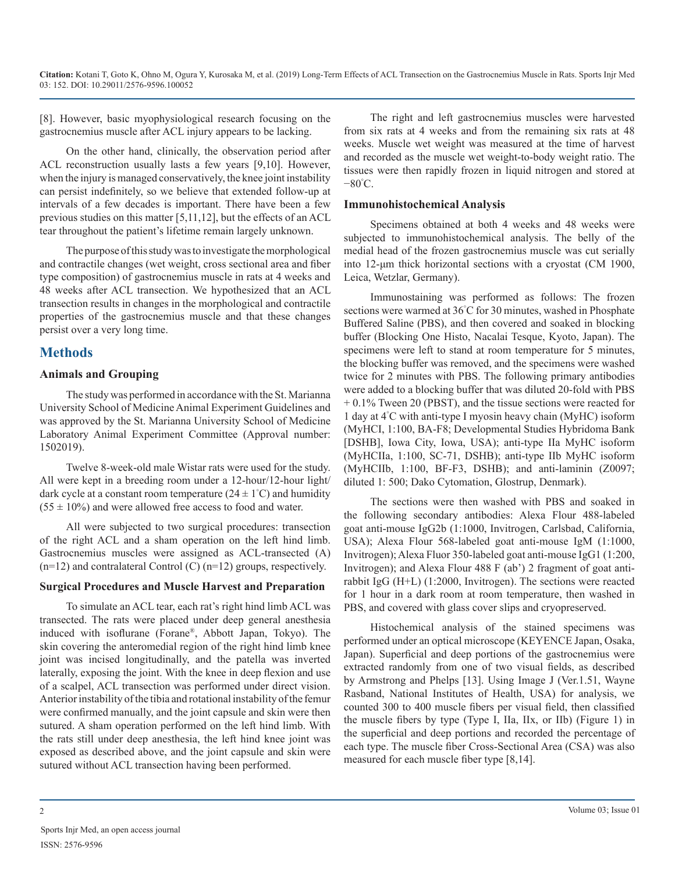[8]. However, basic myophysiological research focusing on the gastrocnemius muscle after ACL injury appears to be lacking.

On the other hand, clinically, the observation period after ACL reconstruction usually lasts a few years [9,10]. However, when the injury is managed conservatively, the knee joint instability can persist indefinitely, so we believe that extended follow-up at intervals of a few decades is important. There have been a few previous studies on this matter [5,11,12], but the effects of an ACL tear throughout the patient's lifetime remain largely unknown.

The purpose of this study was to investigate the morphological and contractile changes (wet weight, cross sectional area and fiber type composition) of gastrocnemius muscle in rats at 4 weeks and 48 weeks after ACL transection. We hypothesized that an ACL transection results in changes in the morphological and contractile properties of the gastrocnemius muscle and that these changes persist over a very long time.

# **Methods**

# **Animals and Grouping**

The study was performed in accordance with the St. Marianna University School of Medicine Animal Experiment Guidelines and was approved by the St. Marianna University School of Medicine Laboratory Animal Experiment Committee (Approval number: 1502019).

Twelve 8-week-old male Wistar rats were used for the study. All were kept in a breeding room under a 12-hour/12-hour light/ dark cycle at a constant room temperature  $(24 \pm 1^{\circ}C)$  and humidity  $(55 \pm 10\%)$  and were allowed free access to food and water.

All were subjected to two surgical procedures: transection of the right ACL and a sham operation on the left hind limb. Gastrocnemius muscles were assigned as ACL-transected (A)  $(n=12)$  and contralateral Control  $(C)$   $(n=12)$  groups, respectively.

# **Surgical Procedures and Muscle Harvest and Preparation**

To simulate an ACL tear, each rat's right hind limb ACL was transected. The rats were placed under deep general anesthesia induced with isoflurane (Forane®, Abbott Japan, Tokyo). The skin covering the anteromedial region of the right hind limb knee joint was incised longitudinally, and the patella was inverted laterally, exposing the joint. With the knee in deep flexion and use of a scalpel, ACL transection was performed under direct vision. Anterior instability of the tibia and rotational instability of the femur were confirmed manually, and the joint capsule and skin were then sutured. A sham operation performed on the left hind limb. With the rats still under deep anesthesia, the left hind knee joint was exposed as described above, and the joint capsule and skin were sutured without ACL transection having been performed.

The right and left gastrocnemius muscles were harvested from six rats at 4 weeks and from the remaining six rats at 48 weeks. Muscle wet weight was measured at the time of harvest and recorded as the muscle wet weight-to-body weight ratio. The tissues were then rapidly frozen in liquid nitrogen and stored at −80° C.

# **Immunohistochemical Analysis**

Specimens obtained at both 4 weeks and 48 weeks were subjected to immunohistochemical analysis. The belly of the medial head of the frozen gastrocnemius muscle was cut serially into 12-μm thick horizontal sections with a cryostat (CM 1900, Leica, Wetzlar, Germany).

Immunostaining was performed as follows: The frozen sections were warmed at 36° C for 30 minutes, washed in Phosphate Buffered Saline (PBS), and then covered and soaked in blocking buffer (Blocking One Histo, Nacalai Tesque, Kyoto, Japan). The specimens were left to stand at room temperature for 5 minutes, the blocking buffer was removed, and the specimens were washed twice for 2 minutes with PBS. The following primary antibodies were added to a blocking buffer that was diluted 20-fold with PBS + 0.1% Tween 20 (PBST), and the tissue sections were reacted for 1 day at 4° C with anti-type I myosin heavy chain (MyHC) isoform (MyHCI, 1:100, BA-F8; Developmental Studies Hybridoma Bank [DSHB], Iowa City, Iowa, USA); anti-type IIa MyHC isoform (MyHCIIa, 1:100, SC-71, DSHB); anti-type IIb MyHC isoform (MyHCIIb, 1:100, BF-F3, DSHB); and anti-laminin (Z0097; diluted 1: 500; Dako Cytomation, Glostrup, Denmark).

The sections were then washed with PBS and soaked in the following secondary antibodies: Alexa Flour 488-labeled goat anti-mouse IgG2b (1:1000, Invitrogen, Carlsbad, California, USA); Alexa Flour 568-labeled goat anti-mouse IgM (1:1000, Invitrogen); Alexa Fluor 350-labeled goat anti-mouse IgG1 (1:200, Invitrogen); and Alexa Flour 488 F (ab') 2 fragment of goat antirabbit IgG (H+L) (1:2000, Invitrogen). The sections were reacted for 1 hour in a dark room at room temperature, then washed in PBS, and covered with glass cover slips and cryopreserved.

Histochemical analysis of the stained specimens was performed under an optical microscope (KEYENCE Japan, Osaka, Japan). Superficial and deep portions of the gastrocnemius were extracted randomly from one of two visual fields, as described by Armstrong and Phelps [13]. Using Image J (Ver.1.51, Wayne Rasband, National Institutes of Health, USA) for analysis, we counted 300 to 400 muscle fibers per visual field, then classified the muscle fibers by type (Type I, IIa, IIx, or IIb) (Figure 1) in the superficial and deep portions and recorded the percentage of each type. The muscle fiber Cross-Sectional Area (CSA) was also measured for each muscle fiber type [8,14].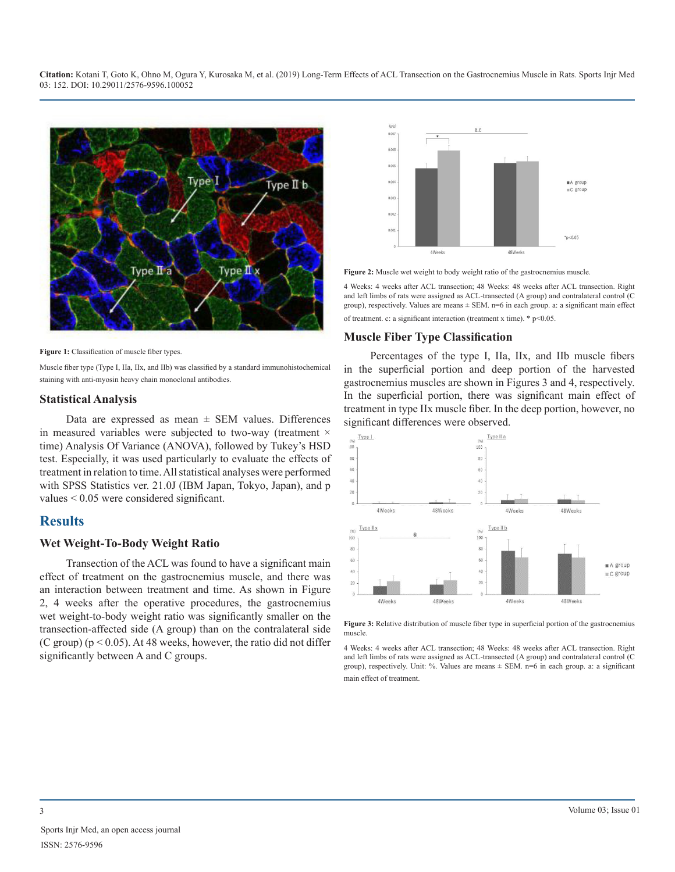

Figure 1: Classification of muscle fiber types.

Muscle fiber type (Type I, IIa, IIx, and IIb) was classified by a standard immunohistochemical staining with anti-myosin heavy chain monoclonal antibodies.

#### **Statistical Analysis**

Data are expressed as mean  $\pm$  SEM values. Differences in measured variables were subjected to two-way (treatment  $\times$ time) Analysis Of Variance (ANOVA), followed by Tukey's HSD test. Especially, it was used particularly to evaluate the effects of treatment in relation to time. All statistical analyses were performed with SPSS Statistics ver. 21.0J (IBM Japan, Tokyo, Japan), and p values < 0.05 were considered significant.

# **Results**

#### **Wet Weight-To-Body Weight Ratio**

Transection of the ACL was found to have a significant main effect of treatment on the gastrocnemius muscle, and there was an interaction between treatment and time. As shown in Figure 2, 4 weeks after the operative procedures, the gastrocnemius wet weight-to-body weight ratio was significantly smaller on the transection-affected side (A group) than on the contralateral side (C group) ( $p < 0.05$ ). At 48 weeks, however, the ratio did not differ significantly between A and C groups.



**Figure 2:** Muscle wet weight to body weight ratio of the gastrocnemius muscle.

4 Weeks: 4 weeks after ACL transection; 48 Weeks: 48 weeks after ACL transection. Right and left limbs of rats were assigned as ACL-transected (A group) and contralateral control (C group), respectively. Values are means  $\pm$  SEM. n=6 in each group. a: a significant main effect of treatment. c: a significant interaction (treatment x time). \* p<0.05.

#### **Muscle Fiber Type Classification**

Percentages of the type I, IIa, IIx, and IIb muscle fibers in the superficial portion and deep portion of the harvested gastrocnemius muscles are shown in Figures 3 and 4, respectively. In the superficial portion, there was significant main effect of treatment in type IIx muscle fiber. In the deep portion, however, no significant differences were observed.



**Figure 3:** Relative distribution of muscle fiber type in superficial portion of the gastrocnemius muscle.

4 Weeks: 4 weeks after ACL transection; 48 Weeks: 48 weeks after ACL transection. Right and left limbs of rats were assigned as ACL-transected (A group) and contralateral control (C group), respectively. Unit: %. Values are means  $\pm$  SEM. n=6 in each group. a: a significant main effect of treatment.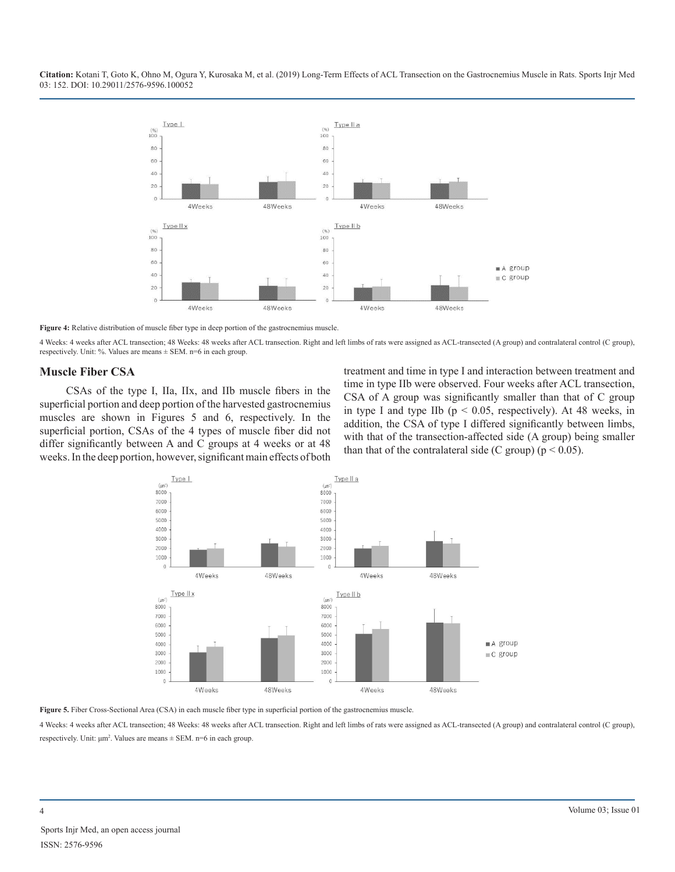

**Figure 4:** Relative distribution of muscle fiber type in deep portion of the gastrocnemius muscle.

4 Weeks: 4 weeks after ACL transection; 48 Weeks: 48 weeks after ACL transection. Right and left limbs of rats were assigned as ACL-transected (A group) and contralateral control (C group), respectively. Unit: %. Values are means ± SEM. n=6 in each group.

#### **Muscle Fiber CSA**

CSAs of the type I, IIa, IIx, and IIb muscle fibers in the superficial portion and deep portion of the harvested gastrocnemius muscles are shown in Figures 5 and 6, respectively. In the superficial portion, CSAs of the 4 types of muscle fiber did not differ significantly between A and C groups at 4 weeks or at 48 weeks. In the deep portion, however, significant main effects of both treatment and time in type I and interaction between treatment and time in type IIb were observed. Four weeks after ACL transection, CSA of A group was significantly smaller than that of C group in type I and type IIb ( $p < 0.05$ , respectively). At 48 weeks, in addition, the CSA of type I differed significantly between limbs, with that of the transection-affected side (A group) being smaller than that of the contralateral side (C group) ( $p < 0.05$ ).



**Figure 5.** Fiber Cross-Sectional Area (CSA) in each muscle fiber type in superficial portion of the gastrocnemius muscle.

4 Weeks: 4 weeks after ACL transection; 48 Weeks: 48 weeks after ACL transection. Right and left limbs of rats were assigned as ACL-transected (A group) and contralateral control (C group), respectively. Unit:  $\mu$ m<sup>2</sup>. Values are means  $\pm$  SEM. n=6 in each group.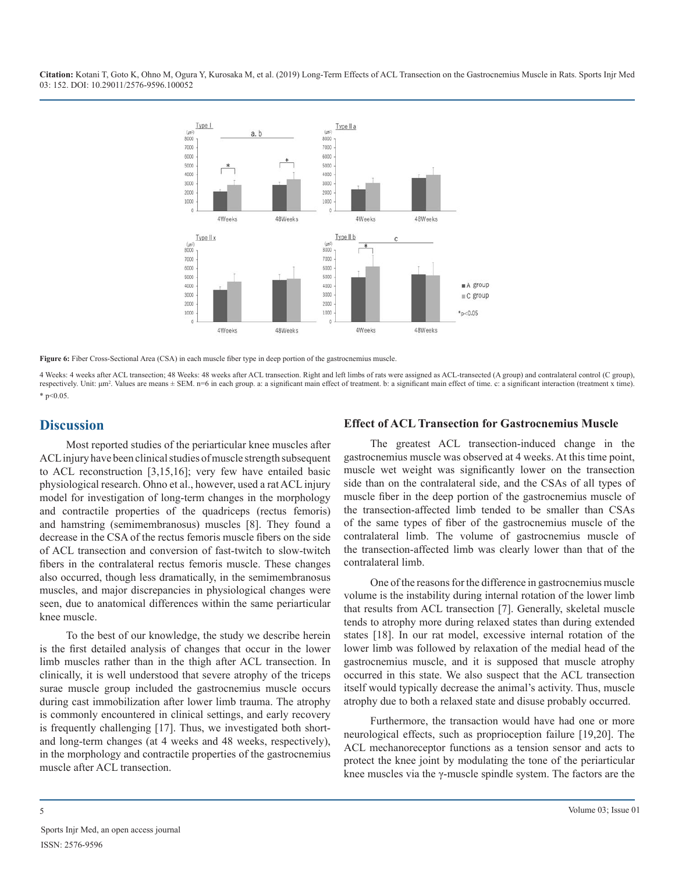

**Figure 6:** Fiber Cross-Sectional Area (CSA) in each muscle fiber type in deep portion of the gastrocnemius muscle.

4 Weeks: 4 weeks after ACL transection; 48 Weeks: 48 weeks after ACL transection. Right and left limbs of rats were assigned as ACL-transected (A group) and contralateral control (C group), respectively. Unit: μm<sup>2</sup>. Values are means ± SEM. n=6 in each group. a: a significant main effect of treatment. b: a significant main effect of time. c: a significant interaction (treatment x time). \* p<0.05.

# **Discussion**

Most reported studies of the periarticular knee muscles after ACL injury have been clinical studies of muscle strength subsequent to ACL reconstruction [3,15,16]; very few have entailed basic physiological research. Ohno et al., however, used a rat ACL injury model for investigation of long-term changes in the morphology and contractile properties of the quadriceps (rectus femoris) and hamstring (semimembranosus) muscles [8]. They found a decrease in the CSA of the rectus femoris muscle fibers on the side of ACL transection and conversion of fast-twitch to slow-twitch fibers in the contralateral rectus femoris muscle. These changes also occurred, though less dramatically, in the semimembranosus muscles, and major discrepancies in physiological changes were seen, due to anatomical differences within the same periarticular knee muscle.

To the best of our knowledge, the study we describe herein is the first detailed analysis of changes that occur in the lower limb muscles rather than in the thigh after ACL transection. In clinically, it is well understood that severe atrophy of the triceps surae muscle group included the gastrocnemius muscle occurs during cast immobilization after lower limb trauma. The atrophy is commonly encountered in clinical settings, and early recovery is frequently challenging [17]. Thus, we investigated both shortand long-term changes (at 4 weeks and 48 weeks, respectively), in the morphology and contractile properties of the gastrocnemius muscle after ACL transection.

### **Effect of ACL Transection for Gastrocnemius Muscle**

The greatest ACL transection-induced change in the gastrocnemius muscle was observed at 4 weeks. At this time point, muscle wet weight was significantly lower on the transection side than on the contralateral side, and the CSAs of all types of muscle fiber in the deep portion of the gastrocnemius muscle of the transection-affected limb tended to be smaller than CSAs of the same types of fiber of the gastrocnemius muscle of the contralateral limb. The volume of gastrocnemius muscle of the transection-affected limb was clearly lower than that of the contralateral limb.

One of the reasons for the difference in gastrocnemius muscle volume is the instability during internal rotation of the lower limb that results from ACL transection [7]. Generally, skeletal muscle tends to atrophy more during relaxed states than during extended states [18]. In our rat model, excessive internal rotation of the lower limb was followed by relaxation of the medial head of the gastrocnemius muscle, and it is supposed that muscle atrophy occurred in this state. We also suspect that the ACL transection itself would typically decrease the animal's activity. Thus, muscle atrophy due to both a relaxed state and disuse probably occurred.

Furthermore, the transaction would have had one or more neurological effects, such as proprioception failure [19,20]. The ACL mechanoreceptor functions as a tension sensor and acts to protect the knee joint by modulating the tone of the periarticular knee muscles via the γ-muscle spindle system. The factors are the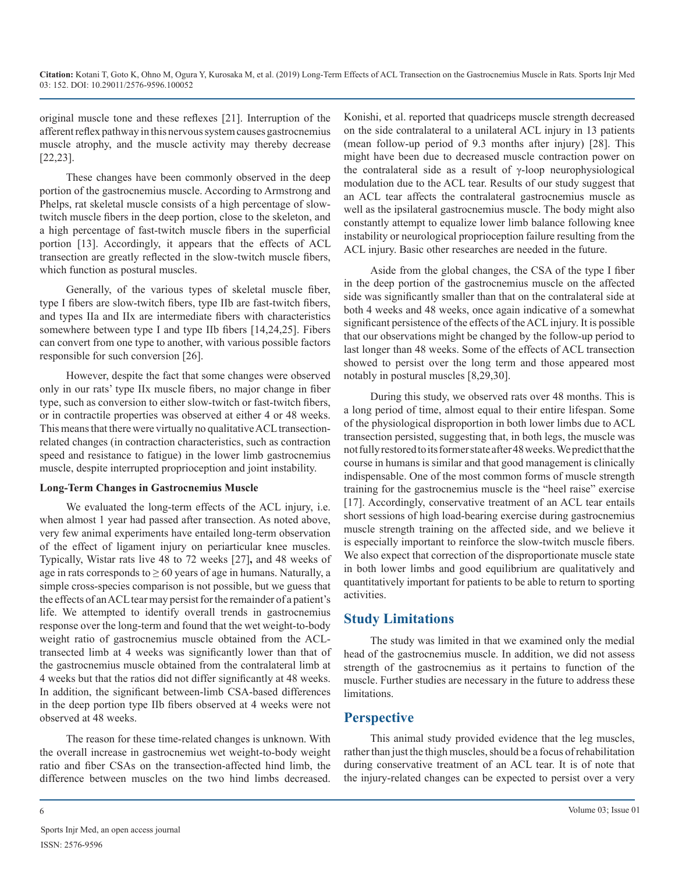original muscle tone and these reflexes [21]. Interruption of the afferent reflex pathway in this nervous system causes gastrocnemius muscle atrophy, and the muscle activity may thereby decrease [22,23].

These changes have been commonly observed in the deep portion of the gastrocnemius muscle. According to Armstrong and Phelps, rat skeletal muscle consists of a high percentage of slowtwitch muscle fibers in the deep portion, close to the skeleton, and a high percentage of fast-twitch muscle fibers in the superficial portion [13]. Accordingly, it appears that the effects of ACL transection are greatly reflected in the slow-twitch muscle fibers, which function as postural muscles.

Generally, of the various types of skeletal muscle fiber, type I fibers are slow-twitch fibers, type IIb are fast-twitch fibers, and types IIa and IIx are intermediate fibers with characteristics somewhere between type I and type IIb fibers [14,24,25]. Fibers can convert from one type to another, with various possible factors responsible for such conversion [26].

However, despite the fact that some changes were observed only in our rats' type IIx muscle fibers, no major change in fiber type, such as conversion to either slow-twitch or fast-twitch fibers, or in contractile properties was observed at either 4 or 48 weeks. This means that there were virtually no qualitative ACL transectionrelated changes (in contraction characteristics, such as contraction speed and resistance to fatigue) in the lower limb gastrocnemius muscle, despite interrupted proprioception and joint instability.

# **Long-Term Changes in Gastrocnemius Muscle**

We evaluated the long-term effects of the ACL injury, i.e. when almost 1 year had passed after transection. As noted above, very few animal experiments have entailed long-term observation of the effect of ligament injury on periarticular knee muscles. Typically, Wistar rats live 48 to 72 weeks [27]**,** and 48 weeks of age in rats corresponds to  $\geq 60$  years of age in humans. Naturally, a simple cross-species comparison is not possible, but we guess that the effects of an ACL tear may persist for the remainder of a patient's life. We attempted to identify overall trends in gastrocnemius response over the long-term and found that the wet weight-to-body weight ratio of gastrocnemius muscle obtained from the ACLtransected limb at 4 weeks was significantly lower than that of the gastrocnemius muscle obtained from the contralateral limb at 4 weeks but that the ratios did not differ significantly at 48 weeks. In addition, the significant between-limb CSA-based differences in the deep portion type IIb fibers observed at 4 weeks were not observed at 48 weeks.

The reason for these time-related changes is unknown. With the overall increase in gastrocnemius wet weight-to-body weight ratio and fiber CSAs on the transection-affected hind limb, the difference between muscles on the two hind limbs decreased.

Konishi, et al. reported that quadriceps muscle strength decreased on the side contralateral to a unilateral ACL injury in 13 patients (mean follow-up period of 9.3 months after injury) [28]. This might have been due to decreased muscle contraction power on the contralateral side as a result of γ-loop neurophysiological modulation due to the ACL tear. Results of our study suggest that an ACL tear affects the contralateral gastrocnemius muscle as well as the ipsilateral gastrocnemius muscle. The body might also constantly attempt to equalize lower limb balance following knee instability or neurological proprioception failure resulting from the ACL injury. Basic other researches are needed in the future.

Aside from the global changes, the CSA of the type I fiber in the deep portion of the gastrocnemius muscle on the affected side was significantly smaller than that on the contralateral side at both 4 weeks and 48 weeks, once again indicative of a somewhat significant persistence of the effects of the ACL injury. It is possible that our observations might be changed by the follow-up period to last longer than 48 weeks. Some of the effects of ACL transection showed to persist over the long term and those appeared most notably in postural muscles [8,29,30].

During this study, we observed rats over 48 months. This is a long period of time, almost equal to their entire lifespan. Some of the physiological disproportion in both lower limbs due to ACL transection persisted, suggesting that, in both legs, the muscle was not fully restored to its former state after 48 weeks. We predict that the course in humans is similar and that good management is clinically indispensable. One of the most common forms of muscle strength training for the gastrocnemius muscle is the "heel raise" exercise [17]. Accordingly, conservative treatment of an ACL tear entails short sessions of high load-bearing exercise during gastrocnemius muscle strength training on the affected side, and we believe it is especially important to reinforce the slow-twitch muscle fibers. We also expect that correction of the disproportionate muscle state in both lower limbs and good equilibrium are qualitatively and quantitatively important for patients to be able to return to sporting activities.

# **Study Limitations**

The study was limited in that we examined only the medial head of the gastrocnemius muscle. In addition, we did not assess strength of the gastrocnemius as it pertains to function of the muscle. Further studies are necessary in the future to address these limitations.

# **Perspective**

This animal study provided evidence that the leg muscles, rather than just the thigh muscles, should be a focus of rehabilitation during conservative treatment of an ACL tear. It is of note that the injury-related changes can be expected to persist over a very